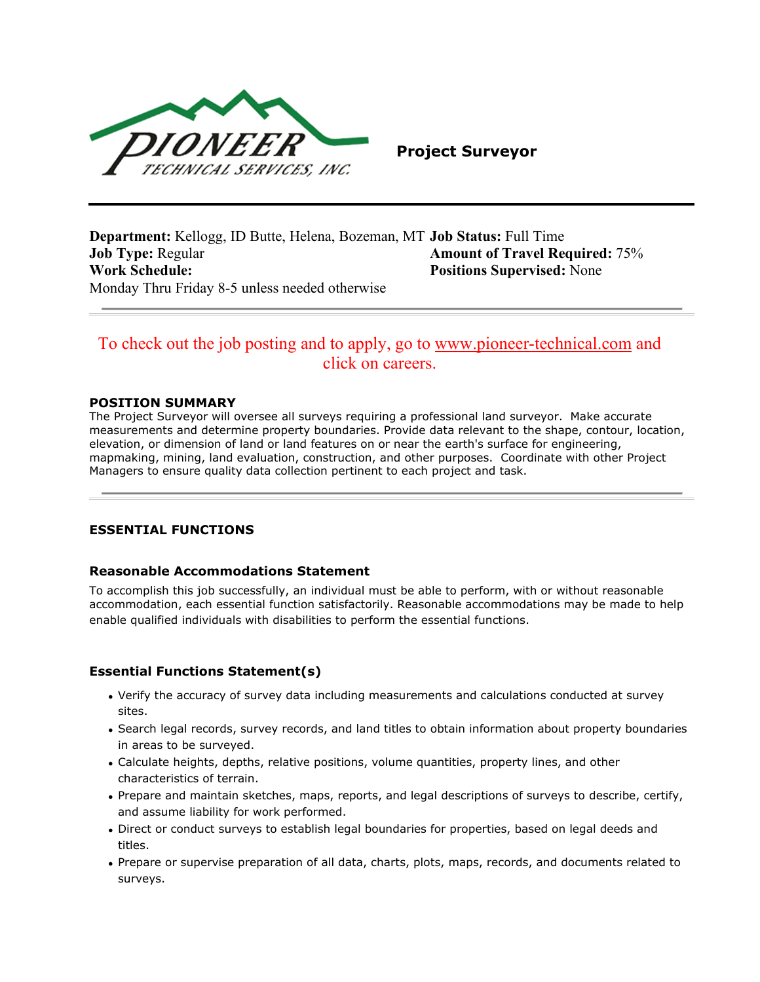

**Project Surveyor**

**Department:** Kellogg, ID Butte, Helena, Bozeman, MT **Job Status:** Full Time **Job Type:** Regular **Amount of Travel Required:** 75% **Work Schedule: Positions Supervised:** None Monday Thru Friday 8-5 unless needed otherwise

# To check out the job posting and to apply, go to [www.pioneer-technical.com](http://www.pioneer-technical.com/) and click on careers.

#### **POSITION SUMMARY**

The Project Surveyor will oversee all surveys requiring a professional land surveyor. Make accurate measurements and determine property boundaries. Provide data relevant to the shape, contour, location, elevation, or dimension of land or land features on or near the earth's surface for engineering, mapmaking, mining, land evaluation, construction, and other purposes. Coordinate with other Project Managers to ensure quality data collection pertinent to each project and task.

### **ESSENTIAL FUNCTIONS**

#### **Reasonable Accommodations Statement**

To accomplish this job successfully, an individual must be able to perform, with or without reasonable accommodation, each essential function satisfactorily. Reasonable accommodations may be made to help enable qualified individuals with disabilities to perform the essential functions.

### **Essential Functions Statement(s)**

- Verify the accuracy of survey data including measurements and calculations conducted at survey sites.
- Search legal records, survey records, and land titles to obtain information about property boundaries in areas to be surveyed.
- Calculate heights, depths, relative positions, volume quantities, property lines, and other characteristics of terrain.
- Prepare and maintain sketches, maps, reports, and legal descriptions of surveys to describe, certify, and assume liability for work performed.
- Direct or conduct surveys to establish legal boundaries for properties, based on legal deeds and titles.
- Prepare or supervise preparation of all data, charts, plots, maps, records, and documents related to surveys.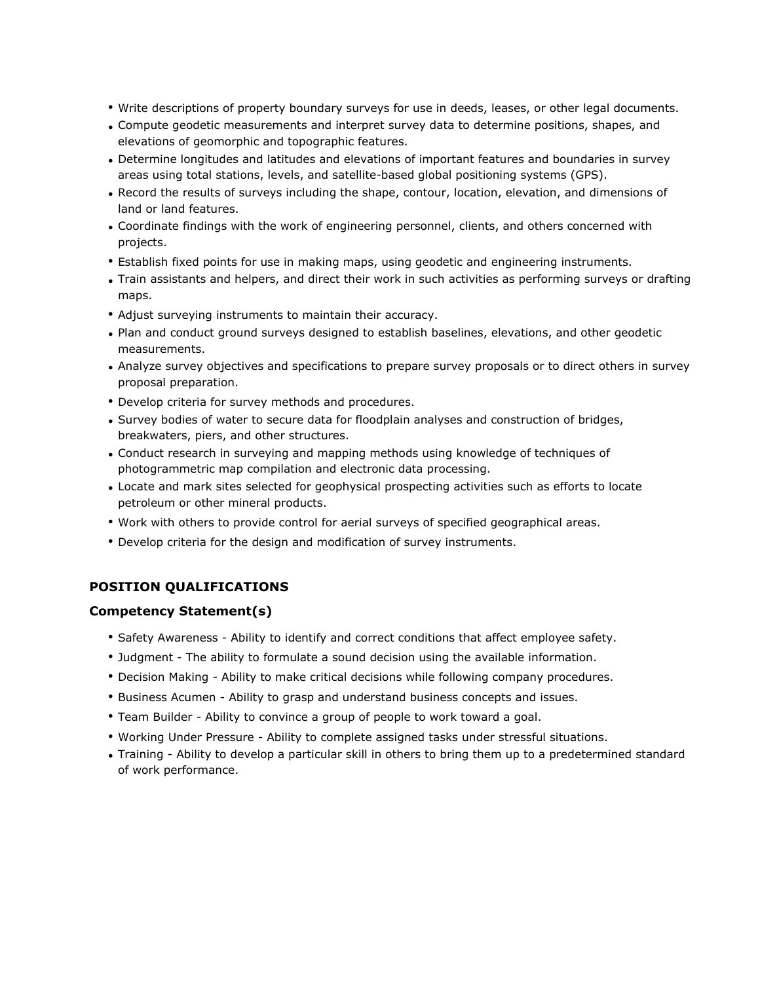- Write descriptions of property boundary surveys for use in deeds, leases, or other legal documents.
- Compute geodetic measurements and interpret survey data to determine positions, shapes, and elevations of geomorphic and topographic features.
- Determine longitudes and latitudes and elevations of important features and boundaries in survey areas using total stations, levels, and satellite-based global positioning systems (GPS).
- Record the results of surveys including the shape, contour, location, elevation, and dimensions of land or land features.
- Coordinate findings with the work of engineering personnel, clients, and others concerned with projects.
- Establish fixed points for use in making maps, using geodetic and engineering instruments.
- Train assistants and helpers, and direct their work in such activities as performing surveys or drafting maps.
- Adjust surveying instruments to maintain their accuracy.
- Plan and conduct ground surveys designed to establish baselines, elevations, and other geodetic measurements.
- Analyze survey objectives and specifications to prepare survey proposals or to direct others in survey proposal preparation.
- Develop criteria for survey methods and procedures.
- Survey bodies of water to secure data for floodplain analyses and construction of bridges, breakwaters, piers, and other structures.
- Conduct research in surveying and mapping methods using knowledge of techniques of photogrammetric map compilation and electronic data processing.
- Locate and mark sites selected for geophysical prospecting activities such as efforts to locate petroleum or other mineral products.
- Work with others to provide control for aerial surveys of specified geographical areas.
- Develop criteria for the design and modification of survey instruments.

## **POSITION QUALIFICATIONS**

### **Competency Statement(s)**

- Safety Awareness Ability to identify and correct conditions that affect employee safety.
- Judgment The ability to formulate a sound decision using the available information.
- Decision Making Ability to make critical decisions while following company procedures.
- Business Acumen Ability to grasp and understand business concepts and issues.
- Team Builder Ability to convince a group of people to work toward a goal.
- Working Under Pressure Ability to complete assigned tasks under stressful situations.
- Training Ability to develop a particular skill in others to bring them up to a predetermined standard of work performance.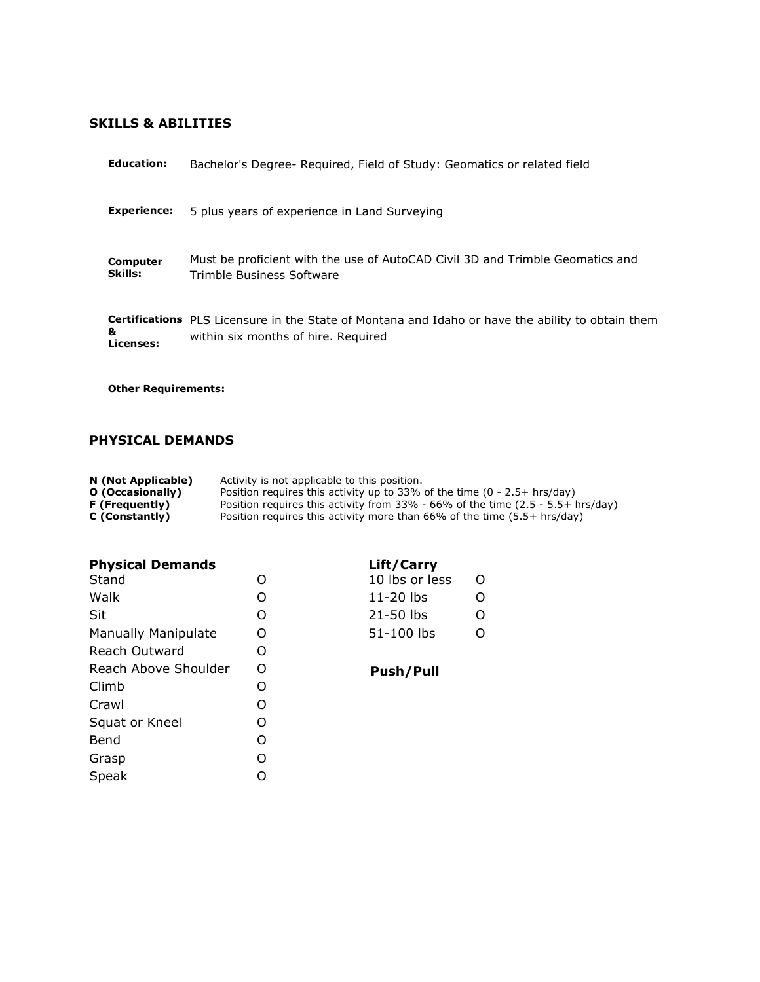# **SKILLS & ABILITIES**

| <b>Education:</b>          | Bachelor's Degree- Required, Field of Study: Geomatics or related field                                                                         |  |  |
|----------------------------|-------------------------------------------------------------------------------------------------------------------------------------------------|--|--|
| <b>Experience:</b>         | 5 plus years of experience in Land Surveying                                                                                                    |  |  |
| Computer<br>Skills:        | Must be proficient with the use of AutoCAD Civil 3D and Trimble Geomatics and<br>Trimble Business Software                                      |  |  |
| &<br>Licenses:             | <b>Certifications</b> PLS Licensure in the State of Montana and Idaho or have the ability to obtain them<br>within six months of hire. Required |  |  |
| <b>Other Requirements:</b> |                                                                                                                                                 |  |  |

# **PHYSICAL DEMANDS**

Grasp O<br>Speak O

Speak

| N (Not Applicable) | Activity is not applicable to this position.                                       |
|--------------------|------------------------------------------------------------------------------------|
| O (Occasionally)   | Position requires this activity up to 33% of the time $(0 - 2.5 + hrs/day)$        |
| F (Frequently)     | Position requires this activity from $33\%$ - 66% of the time (2.5 - 5.5+ hrs/day) |
| C (Constantly)     | Position requires this activity more than 66% of the time (5.5+ hrs/day)           |

| <b>Physical Demands</b>    | Lift/Carry |                     |
|----------------------------|------------|---------------------|
| Stand                      | O          | 10 lbs or less<br>O |
| Walk                       | O          | $11-20$ lbs         |
| Sit                        | O          | 21-50 lbs<br>O      |
| <b>Manually Manipulate</b> | O          | 51-100 lbs          |
| Reach Outward              | O          |                     |
| Reach Above Shoulder       | Ω          | Push/Pull           |
| Climb                      | O          |                     |
| Crawl                      | O          |                     |
| Squat or Kneel             | O          |                     |
| Bend                       |            |                     |